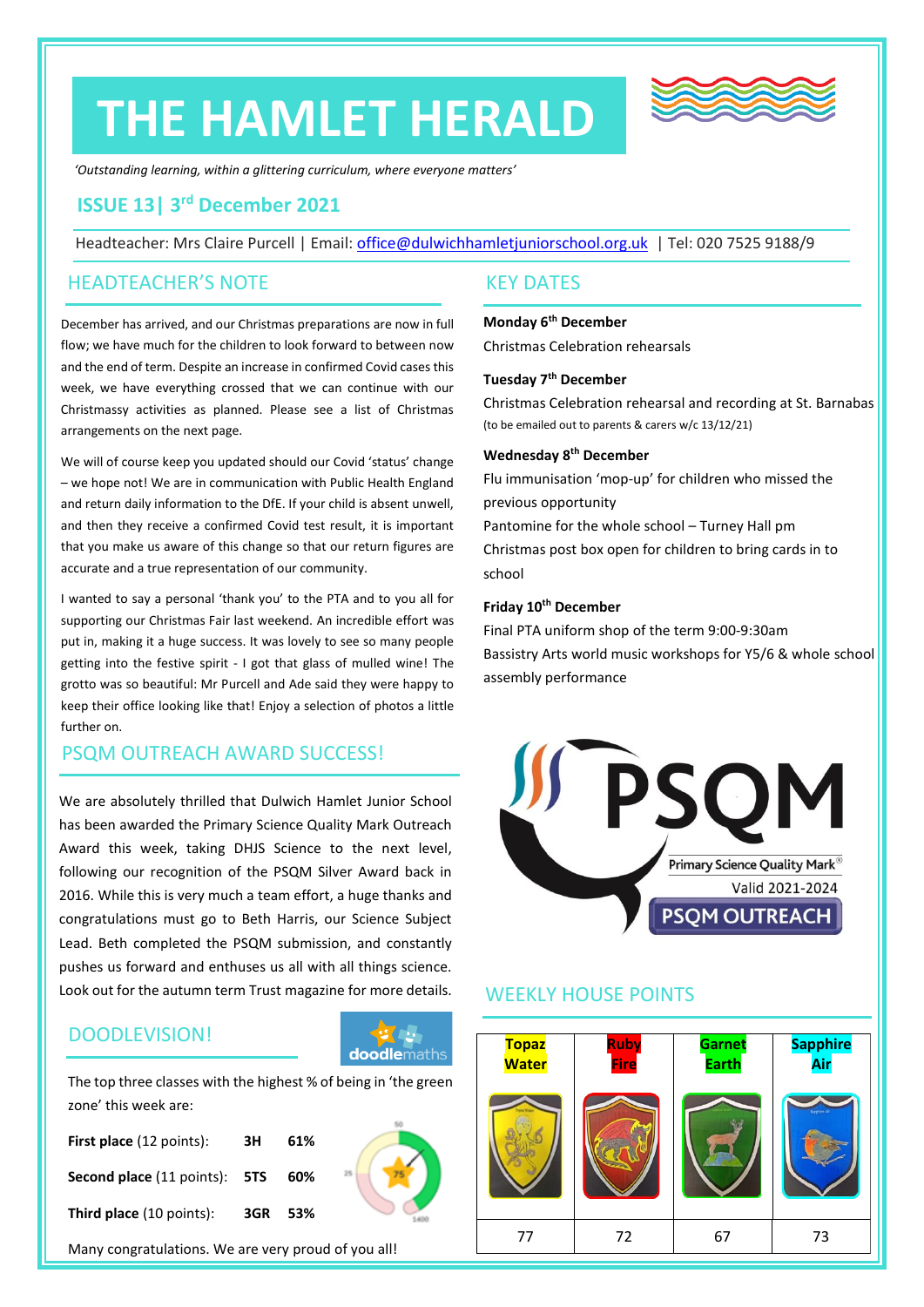# **THE HAMLET HERALD**



*'Outstanding learning, within a glittering curriculum, where everyone matters'*

# **ISSUE 13| 3 rd December 2021**

Headteacher: Mrs Claire Purcell | Email: [office@dulwichhamletjuniorschool.org.uk](mailto:office@dulwichhamletjuniorschool.org.uk) | Tel: 020 7525 9188/9

#### HEADTEACHER'S NOTE

December has arrived, and our Christmas preparations are now in full flow; we have much for the children to look forward to between now and the end of term. Despite an increase in confirmed Covid cases this week, we have everything crossed that we can continue with our Christmassy activities as planned. Please see a list of Christmas arrangements on the next page.

We will of course keep you updated should our Covid 'status' change – we hope not! We are in communication with Public Health England and return daily information to the DfE. If your child is absent unwell, and then they receive a confirmed Covid test result, it is important that you make us aware of this change so that our return figures are accurate and a true representation of our community.

I wanted to say a personal 'thank you' to the PTA and to you all for supporting our Christmas Fair last weekend. An incredible effort was put in, making it a huge success. It was lovely to see so many people getting into the festive spirit - I got that glass of mulled wine! The grotto was so beautiful: Mr Purcell and Ade said they were happy to keep their office looking like that! Enjoy a selection of photos a little further on.

# PSQM OUTREACH AWARD SUCCESS!

We are absolutely thrilled that Dulwich Hamlet Junior School has been awarded the Primary Science Quality Mark Outreach Award this week, taking DHJS Science to the next level, following our recognition of the PSQM Silver Award back in 2016. While this is very much a team effort, a huge thanks and congratulations must go to Beth Harris, our Science Subject Lead. Beth completed the PSQM submission, and constantly pushes us forward and enthuses us all with all things science. Look out for the autumn term Trust magazine for more details.

# DOODLEVISION!



The top three classes with the highest % of being in 'the green zone' this week are:

| First place (12 points):                    | зн      | 61% |  |
|---------------------------------------------|---------|-----|--|
| <b>Second place</b> (11 points): <b>5TS</b> |         | 60% |  |
| Third place (10 points):                    | 3GR 53% |     |  |



### KEY DATES

#### **Monday 6th December**

Christmas Celebration rehearsals

#### **Tuesday 7th December**

Christmas Celebration rehearsal and recording at St. Barnabas (to be emailed out to parents & carers w/c 13/12/21)

#### **Wednesday 8th December**

Flu immunisation 'mop-up' for children who missed the previous opportunity

Pantomine for the whole school – Turney Hall pm Christmas post box open for children to bring cards in to school

#### **Friday 10th December**

Final PTA uniform shop of the term 9:00-9:30am Bassistry Arts world music workshops for Y5/6 & whole school assembly performance



### WEEKLY HOUSE POINTS

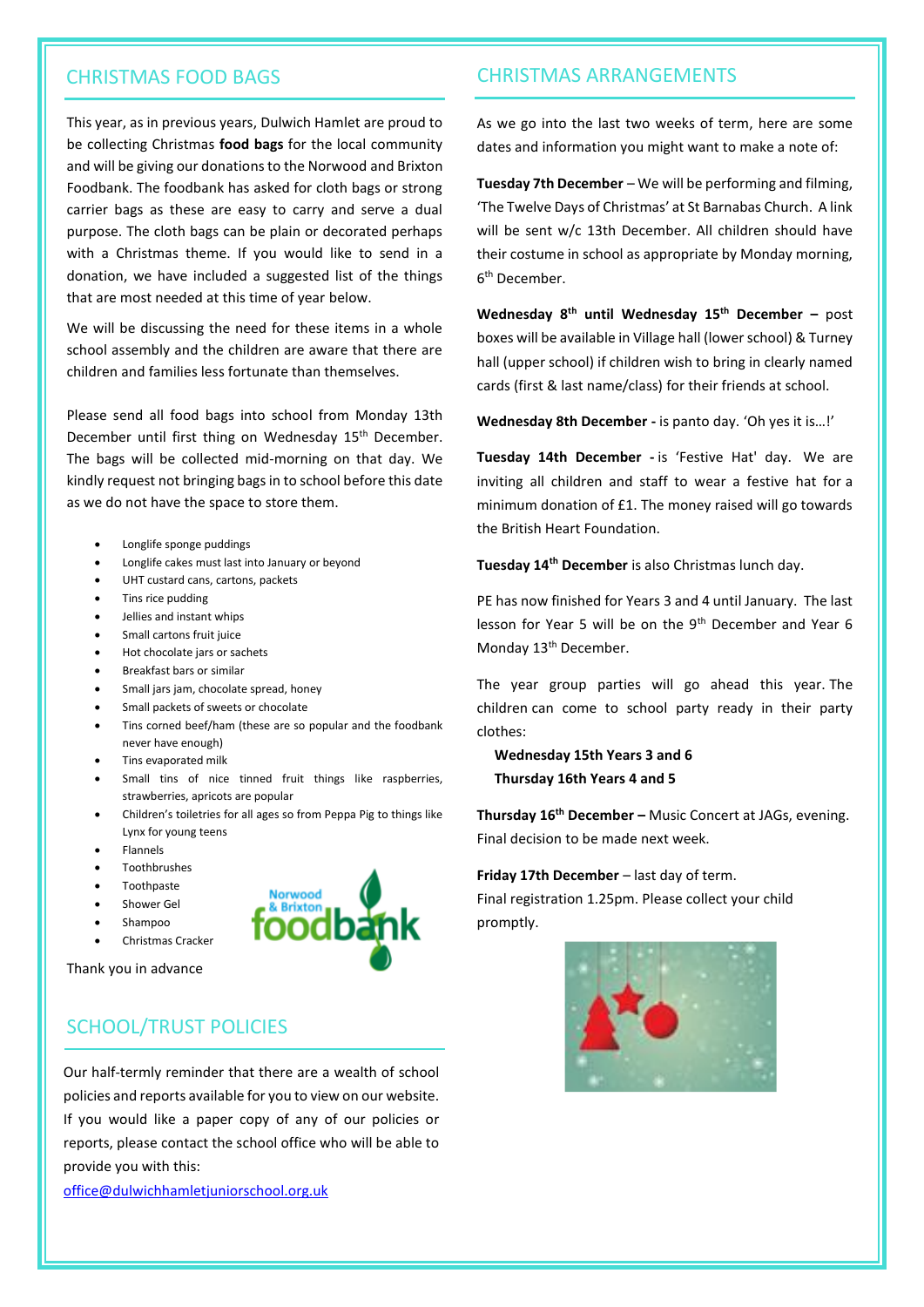This year, as in previous years, Dulwich Hamlet are proud to be collecting Christmas **food bags** for the local community and will be giving our donations to the Norwood and Brixton Foodbank. The foodbank has asked for cloth bags or strong carrier bags as these are easy to carry and serve a dual purpose. The cloth bags can be plain or decorated perhaps with a Christmas theme. If you would like to send in a donation, we have included a suggested list of the things that are most needed at this time of year below.

We will be discussing the need for these items in a whole school assembly and the children are aware that there are children and families less fortunate than themselves.

Please send all food bags into school from Monday 13th December until first thing on Wednesday 15<sup>th</sup> December. The bags will be collected mid-morning on that day. We kindly request not bringing bags in to school before this date as we do not have the space to store them.

- Longlife sponge puddings
- Longlife cakes must last into January or beyond
- UHT custard cans, cartons, packets
- Tins rice pudding
- Jellies and instant whips
- Small cartons fruit juice
- Hot chocolate jars or sachets
- Breakfast bars or similar
- Small jars jam, chocolate spread, honey
- Small packets of sweets or chocolate
- Tins corned beef/ham (these are so popular and the foodbank never have enough)
- Tins evaporated milk
- Small tins of nice tinned fruit things like raspberries, strawberries, apricots are popular
- Children's toiletries for all ages so from Peppa Pig to things like Lynx for young teens
- Flannels
- Toothbrushes
- Toothpaste
- Shower Gel
- Shampoo

Thank you in advance

• Christmas Cracker



# SCHOOL/TRUST POLICIES

Our half-termly reminder that there are a wealth of school policies and reports available for you to view on our website. If you would like a paper copy of any of our policies or reports, please contact the school office who will be able to provide you with this:

[office@dulwichhamletjuniorschool.org.uk](mailto:office@dulwichhamletjuniorschool.org.uk)

#### CHRISTMAS FOOD BAGS CHRISTMAS ARRANGEMENTS

As we go into the last two weeks of term, here are some dates and information you might want to make a note of:

**Tuesday 7th December** – We will be performing and filming, 'The Twelve Days of Christmas' at St Barnabas Church. A link will be sent w/c 13th December. All children should have their costume in school as appropriate by Monday morning, 6 th December.

**Wednesday 8th until Wednesday 15th December –** post boxes will be available in Village hall (lower school) & Turney hall (upper school) if children wish to bring in clearly named cards (first & last name/class) for their friends at school.

**Wednesday 8th December -** is panto day. 'Oh yes it is…!'

**Tuesday 14th December -** is 'Festive Hat' day. We are inviting all children and staff to wear a festive hat for a minimum donation of £1. The money raised will go towards the British Heart Foundation.

**Tuesday 14th December** is also Christmas lunch day.

PE has now finished for Years 3 and 4 until January. The last lesson for Year 5 will be on the 9th December and Year 6 Monday 13<sup>th</sup> December.

The year group parties will go ahead this year. The children can come to school party ready in their party clothes:

 **Wednesday 15th Years 3 and 6 Thursday 16th Years 4 and 5**

**Thursday 16th December –** Music Concert at JAGs, evening. Final decision to be made next week.

#### **Friday 17th December** – last day of term.

Final registration 1.25pm. Please collect your child promptly.

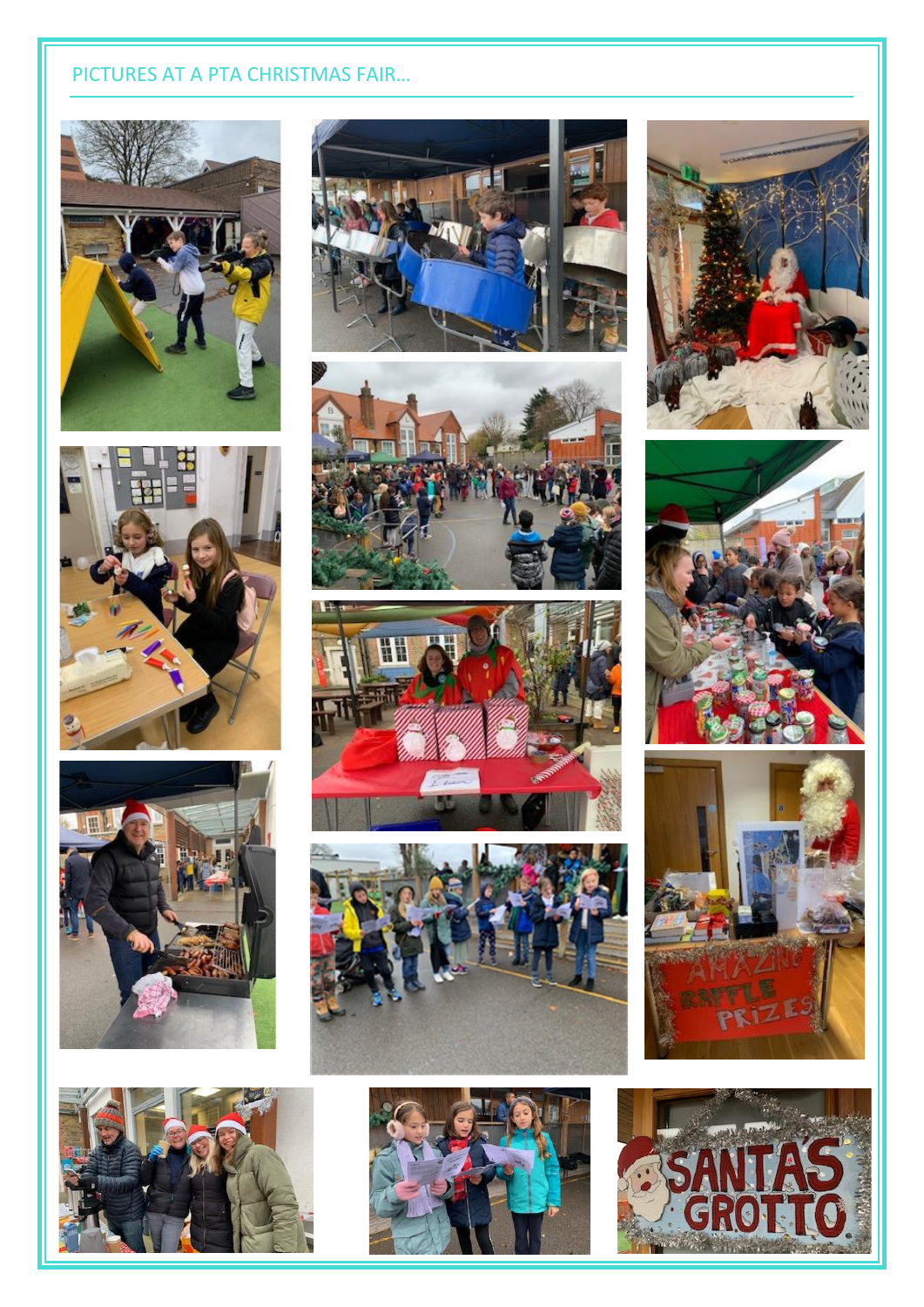# PICTURES AT A PTA CHRISTMAS FAIR...